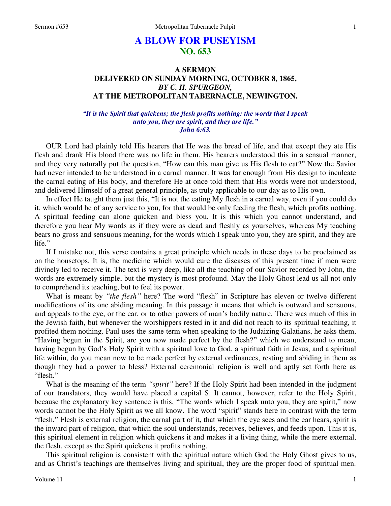# **A BLOW FOR PUSEYISM NO. 653**

# **A SERMON DELIVERED ON SUNDAY MORNING, OCTOBER 8, 1865,**  *BY C. H. SPURGEON,*  **AT THE METROPOLITAN TABERNACLE, NEWINGTON.**

## *"It is the Spirit that quickens; the flesh profits nothing: the words that I speak unto you, they are spirit, and they are life." John 6:63.*

OUR Lord had plainly told His hearers that He was the bread of life, and that except they ate His flesh and drank His blood there was no life in them. His hearers understood this in a sensual manner, and they very naturally put the question, "How can this man give us His flesh to eat?" Now the Savior had never intended to be understood in a carnal manner. It was far enough from His design to inculcate the carnal eating of His body, and therefore He at once told them that His words were not understood, and delivered Himself of a great general principle, as truly applicable to our day as to His own.

 In effect He taught them just this, "It is not the eating My flesh in a carnal way, even if you could do it, which would be of any service to you, for that would be only feeding the flesh, which profits nothing. A spiritual feeding can alone quicken and bless you. It is this which you cannot understand, and therefore you hear My words as if they were as dead and fleshly as yourselves, whereas My teaching bears no gross and sensuous meaning, for the words which I speak unto you, they are spirit, and they are life."

 If I mistake not, this verse contains a great principle which needs in these days to be proclaimed as on the housetops. It is, the medicine which would cure the diseases of this present time if men were divinely led to receive it. The text is very deep, like all the teaching of our Savior recorded by John, the words are extremely simple, but the mystery is most profound. May the Holy Ghost lead us all not only to comprehend its teaching, but to feel its power.

 What is meant by *"the flesh"* here? The word "flesh" in Scripture has eleven or twelve different modifications of its one abiding meaning. In this passage it means that which is outward and sensuous, and appeals to the eye, or the ear, or to other powers of man's bodily nature. There was much of this in the Jewish faith, but whenever the worshippers rested in it and did not reach to its spiritual teaching, it profited them nothing. Paul uses the same term when speaking to the Judaizing Galatians, he asks them, "Having begun in the Spirit, are you now made perfect by the flesh?" which we understand to mean, having begun by God's Holy Spirit with a spiritual love to God, a spiritual faith in Jesus, and a spiritual life within, do you mean now to be made perfect by external ordinances, resting and abiding in them as though they had a power to bless? External ceremonial religion is well and aptly set forth here as "flesh."

 What is the meaning of the term *"spirit"* here? If the Holy Spirit had been intended in the judgment of our translators, they would have placed a capital S. It cannot, however, refer to the Holy Spirit, because the explanatory key sentence is this, "The words which I speak unto you, they are spirit," now words cannot be the Holy Spirit as we all know. The word "spirit" stands here in contrast with the term "flesh." Flesh is external religion, the carnal part of it, that which the eye sees and the ear hears, spirit is the inward part of religion, that which the soul understands, receives, believes, and feeds upon. This it is, this spiritual element in religion which quickens it and makes it a living thing, while the mere external, the flesh, except as the Spirit quickens it profits nothing.

 This spiritual religion is consistent with the spiritual nature which God the Holy Ghost gives to us, and as Christ's teachings are themselves living and spiritual, they are the proper food of spiritual men.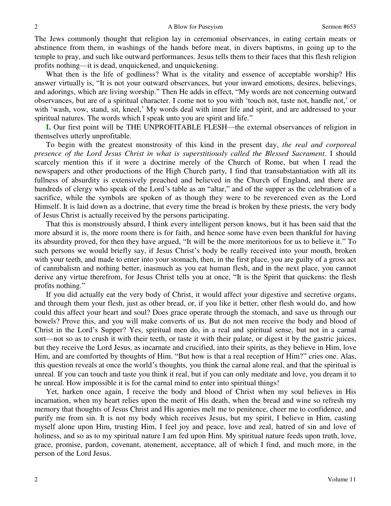The Jews commonly thought that religion lay in ceremonial observances, in eating certain meats or abstinence from them, in washings of the hands before meat, in divers baptisms, in going up to the temple to pray, and such like outward performances. Jesus tells them to their faces that this flesh religion profits nothing—it is dead, unquickened, and unquickening.

 What then is the life of godliness? What is the vitality and essence of acceptable worship? His answer virtually is, "It is not your outward observances, but your inward emotions, desires, believings, and adorings, which are living worship." Then He adds in effect, "My words are not concerning outward observances, but are of a spiritual character. I come not to you with 'touch not, taste not, handle not,' or with 'wash, vow, stand, sit, kneel,' My words deal with inner life and spirit, and are addressed to your spiritual natures. The words which I speak unto you are spirit and life."

**I.** Our first point will be THE UNPROFITABLE FLESH—the external observances of religion in themselves utterly unprofitable.

 To begin with the greatest monstrosity of this kind in the present day, *the real and corporeal presence of the Lord Jesus Christ in what is superstitiously called the Blessed Sacrament.* I should scarcely mention this if it were a doctrine merely of the Church of Rome, but when I read the newspapers and other productions of the High Church party, I find that transubstantiation with all its fullness of absurdity is extensively preached and believed in the Church of England, and there are hundreds of clergy who speak of the Lord's table as an "altar," and of the supper as the celebration of a sacrifice, while the symbols are spoken of as though they were to be reverenced even as the Lord Himself. It is laid down as a doctrine, that every time the bread is broken by these priests, the very body of Jesus Christ is actually received by the persons participating.

 That this is monstrously absurd, I think every intelligent person knows, but it has been said that the more absurd it is, the more room there is for faith, and hence some have even been thankful for having its absurdity proved, for then they have argued, "It will be the more meritorious for us to believe it." To such persons we would briefly say, if Jesus Christ's body be really received into your mouth, broken with your teeth, and made to enter into your stomach, then, in the first place, you are guilty of a gross act of cannibalism and nothing better, inasmuch as you eat human flesh, and in the next place, you cannot derive any virtue therefrom, for Jesus Christ tells you at once, "It is the Spirit that quickens: the flesh profits nothing."

 If you did actually eat the very body of Christ, it would affect your digestive and secretive organs, and through them your flesh, just as other bread, or, if you like it better, other flesh would do, and how could this affect your heart and soul? Does grace operate through the stomach, and save us through our bowels? Prove this, and you will make converts of us. But do not men receive the body and blood of Christ in the Lord's Supper? Yes, spiritual men do, in a real and spiritual sense, but not in a carnal sort—not so as to crush it with their teeth, or taste it with their palate, or digest it by the gastric juices, but they receive the Lord Jesus, as incarnate and crucified, into their spirits, as they believe in Him, love Him, and are comforted by thoughts of Him. "But how is that a real reception of Him?" cries one. Alas, this question reveals at once the world's thoughts, you think the carnal alone real, and that the spiritual is unreal. If you can touch and taste you think it real, but if you can only meditate and love, you dream it to be unreal. How impossible it is for the carnal mind to enter into spiritual things!

 Yet, harken once again, I receive the body and blood of Christ when my soul believes in His incarnation, when my heart relies upon the merit of His death, when the bread and wine so refresh my memory that thoughts of Jesus Christ and His agonies melt me to penitence, cheer me to confidence, and purify me from sin. It is not my body which receives Jesus, but my spirit, I believe in Him, casting myself alone upon Him, trusting Him, I feel joy and peace, love and zeal, hatred of sin and love of holiness, and so as to my spiritual nature I am fed upon Him. My spiritual nature feeds upon truth, love, grace, promise, pardon, covenant, atonement, acceptance, all of which I find, and much more, in the person of the Lord Jesus.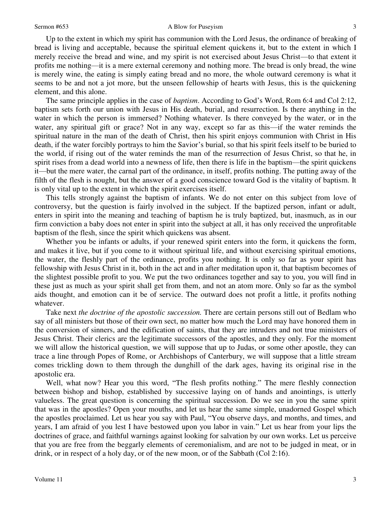Up to the extent in which my spirit has communion with the Lord Jesus, the ordinance of breaking of bread is living and acceptable, because the spiritual element quickens it, but to the extent in which I merely receive the bread and wine, and my spirit is not exercised about Jesus Christ—to that extent it profits me nothing—it is a mere external ceremony and nothing more. The bread is only bread, the wine is merely wine, the eating is simply eating bread and no more, the whole outward ceremony is what it seems to be and not a jot more, but the unseen fellowship of hearts with Jesus, this is the quickening element, and this alone.

 The same principle applies in the case of *baptism*. According to God's Word, Rom 6:4 and Col 2:12, baptism sets forth our union with Jesus in His death, burial, and resurrection. Is there anything in the water in which the person is immersed? Nothing whatever. Is there conveyed by the water, or in the water, any spiritual gift or grace? Not in any way, except so far as this—if the water reminds the spiritual nature in the man of the death of Christ, then his spirit enjoys communion with Christ in His death, if the water forcibly portrays to him the Savior's burial, so that his spirit feels itself to be buried to the world, if rising out of the water reminds the man of the resurrection of Jesus Christ, so that he, in spirit rises from a dead world into a newness of life, then there is life in the baptism—the spirit quickens it—but the mere water, the carnal part of the ordinance, in itself, profits nothing. The putting away of the filth of the flesh is nought, but the answer of a good conscience toward God is the vitality of baptism. It is only vital up to the extent in which the spirit exercises itself.

 This tells strongly against the baptism of infants. We do not enter on this subject from love of controversy, but the question is fairly involved in the subject. If the baptized person, infant or adult, enters in spirit into the meaning and teaching of baptism he is truly baptized, but, inasmuch, as in our firm conviction a baby does not enter in spirit into the subject at all, it has only received the unprofitable baptism of the flesh, since the spirit which quickens was absent.

 Whether you be infants or adults, if your renewed spirit enters into the form, it quickens the form, and makes it live, but if you come to it without spiritual life, and without exercising spiritual emotions, the water, the fleshly part of the ordinance, profits you nothing. It is only so far as your spirit has fellowship with Jesus Christ in it, both in the act and in after meditation upon it, that baptism becomes of the slightest possible profit to you. We put the two ordinances together and say to you, you will find in these just as much as your spirit shall get from them, and not an atom more. Only so far as the symbol aids thought, and emotion can it be of service. The outward does not profit a little, it profits nothing whatever.

 Take next *the doctrine of the apostolic succession.* There are certain persons still out of Bedlam who say of all ministers but those of their own sect, no matter how much the Lord may have honored them in the conversion of sinners, and the edification of saints, that they are intruders and not true ministers of Jesus Christ. Their clerics are the legitimate successors of the apostles, and they only. For the moment we will allow the historical question, we will suppose that up to Judas, or some other apostle, they can trace a line through Popes of Rome, or Archbishops of Canterbury, we will suppose that a little stream comes trickling down to them through the dunghill of the dark ages, having its original rise in the apostolic era.

 Well, what now? Hear you this word, "The flesh profits nothing." The mere fleshly connection between bishop and bishop, established by successive laying on of hands and anointings, is utterly valueless. The great question is concerning the spiritual succession. Do we see in you the same spirit that was in the apostles? Open your mouths, and let us hear the same simple, unadorned Gospel which the apostles proclaimed. Let us hear you say with Paul, "You observe days, and months, and times, and years, I am afraid of you lest I have bestowed upon you labor in vain." Let us hear from your lips the doctrines of grace, and faithful warnings against looking for salvation by our own works. Let us perceive that you are free from the beggarly elements of ceremonialism, and are not to be judged in meat, or in drink, or in respect of a holy day, or of the new moon, or of the Sabbath (Col 2:16).

3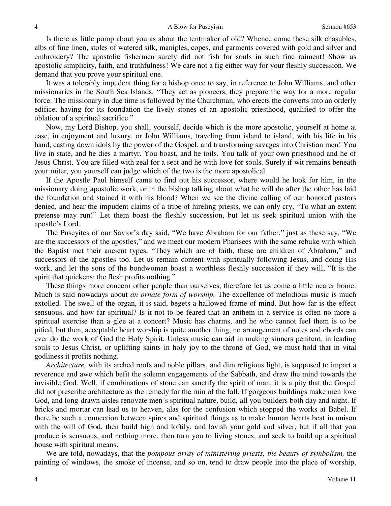Is there as little pomp about you as about the tentmaker of old? Whence come these silk chasubles, albs of fine linen, stoles of watered silk, maniples, copes, and garments covered with gold and silver and embroidery? The apostolic fishermen surely did not fish for souls in such fine raiment! Show us apostolic simplicity, faith, and truthfulness! We care not a fig either way for your fleshly succession. We demand that you prove your spiritual one.

 It was a tolerably impudent thing for a bishop once to say, in reference to John Williams, and other missionaries in the South Sea Islands, "They act as pioneers, they prepare the way for a more regular force. The missionary in due time is followed by the Churchman, who erects the converts into an orderly edifice, having for its foundation the lively stones of an apostolic priesthood, qualified to offer the oblation of a spiritual sacrifice."

 Now, my Lord Bishop, you shall, yourself, decide which is the more apostolic, yourself at home at ease, in enjoyment and luxury, or John Williams, traveling from island to island, with his life in his hand, casting down idols by the power of the Gospel, and transforming savages into Christian men! You live in state, and he dies a martyr. You boast, and he toils. You talk of your own priesthood and he of Jesus Christ. You are filled with zeal for a sect and he with love for souls. Surely if wit remains beneath your miter, you yourself can judge which of the two is the more apostolical.

 If the Apostle Paul himself came to find out his successor, where would he look for him, in the missionary doing apostolic work, or in the bishop talking about what he will do after the other has laid the foundation and stained it with his blood? When we see the divine calling of our honored pastors denied, and hear the impudent claims of a tribe of hireling priests, we can only cry, "To what an extent pretense may run!" Let them boast the fleshly succession, but let us seek spiritual union with the apostle's Lord.

 The Puseyites of our Savior's day said, "We have Abraham for our father," just as these say, "We are the successors of the apostles," and we meet our modern Pharisees with the same rebuke with which the Baptist met their ancient types, "They which are of faith, these are children of Abraham," and successors of the apostles too. Let us remain content with spiritually following Jesus, and doing His work, and let the sons of the bondwoman boast a worthless fleshly succession if they will, "It is the spirit that quickens: the flesh profits nothing."

 These things more concern other people than ourselves, therefore let us come a little nearer home. Much is said nowadays about *an ornate form of worship.* The excellence of melodious music is much extolled. The swell of the organ, it is said, begets a hallowed frame of mind. But how far is the effect sensuous, and how far spiritual? Is it not to be feared that an anthem in a service is often no more a spiritual exercise than a glee at a concert? Music has charms, and he who cannot feel them is to be pitied, but then, acceptable heart worship is quite another thing, no arrangement of notes and chords can ever do the work of God the Holy Spirit. Unless music can aid in making sinners penitent*,* in leading souls to Jesus Christ, or uplifting saints in holy joy to the throne of God, we must hold that in vital godliness it profits nothing.

*Architecture,* with its arched roofs and noble pillars, and dim religious light, is supposed to impart a reverence and awe which befit the solemn engagements of the Sabbath, and draw the mind towards the invisible God. Well, if combinations of stone can sanctify the spirit of man, it is a pity that the Gospel did not prescribe architecture as the remedy for the ruin of the fall. If gorgeous buildings make men love God, and long-drawn aisles renovate men's spiritual nature, build, all you builders both day and night. If bricks and mortar can lead us to heaven, alas for the confusion which stopped the works at Babel. If there be such a connection between spires and spiritual things as to make human hearts beat in unison with the will of God, then build high and loftily, and lavish your gold and silver, but if all that you produce is sensuous, and nothing more, then turn you to living stones, and seek to build up a spiritual house with spiritual means.

 We are told, nowadays, that the *pompous array of ministering priests, the beauty of symbolism,* the painting of windows, the smoke of incense, and so on, tend to draw people into the place of worship,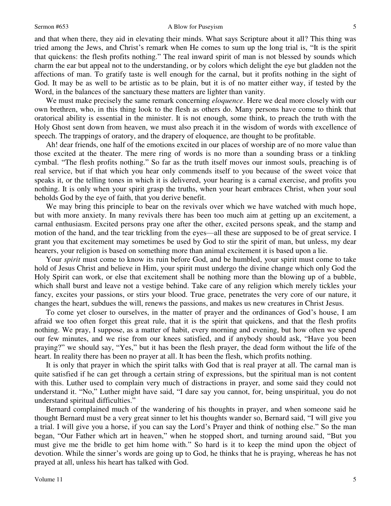#### Sermon #653 A Blow for Puseyism

and that when there, they aid in elevating their minds. What says Scripture about it all? This thing was tried among the Jews, and Christ's remark when He comes to sum up the long trial is, "It is the spirit that quickens: the flesh profits nothing." The real inward spirit of man is not blessed by sounds which charm the ear but appeal not to the understanding, or by colors which delight the eye but gladden not the affections of man. To gratify taste is well enough for the carnal, but it profits nothing in the sight of God. It may be as well to be artistic as to be plain, but it is of no matter either way, if tested by the Word, in the balances of the sanctuary these matters are lighter than vanity.

We must make precisely the same remark concerning *eloquence*. Here we deal more closely with our own brethren, who, in this thing look to the flesh as others do. Many persons have come to think that oratorical ability is essential in the minister. It is not enough, some think, to preach the truth with the Holy Ghost sent down from heaven, we must also preach it in the wisdom of words with excellence of speech. The trappings of oratory, and the drapery of eloquence, are thought to be profitable.

 Ah! dear friends, one half of the emotions excited in our places of worship are of no more value than those excited at the theater. The mere ring of words is no more than a sounding brass or a tinkling cymbal. "The flesh profits nothing." So far as the truth itself moves our inmost souls, preaching is of real service, but if that which you hear only commends itself to you because of the sweet voice that speaks it, or the telling tones in which it is delivered, your hearing is a carnal exercise, and profits you nothing. It is only when your spirit grasp the truths, when your heart embraces Christ, when your soul beholds God by the eye of faith, that you derive benefit.

 We may bring this principle to bear on the revivals over which we have watched with much hope, but with more anxiety. In many revivals there has been too much aim at getting up an excitement, a carnal enthusiasm. Excited persons pray one after the other, excited persons speak, and the stamp and motion of the hand, and the tear trickling from the eyes—all these are supposed to be of great service. I grant you that excitement may sometimes be used by God to stir the spirit of man, but unless, my dear hearers, your religion is based on something more than animal excitement it is based upon a lie.

 Your *spirit* must come to know its ruin before God, and be humbled, your spirit must come to take hold of Jesus Christ and believe in Him, your spirit must undergo the divine change which only God the Holy Spirit can work, or else that excitement shall be nothing more than the blowing up of a bubble, which shall burst and leave not a vestige behind. Take care of any religion which merely tickles your fancy, excites your passions, or stirs your blood. True grace, penetrates the very core of our nature, it changes the heart, subdues the will, renews the passions, and makes us new creatures in Christ Jesus.

 To come yet closer to ourselves, in the matter of prayer and the ordinances of God's house, I am afraid we too often forget this great rule, that it is the spirit that quickens, and that the flesh profits nothing. We pray, I suppose, as a matter of habit, every morning and evening, but how often we spend our few minutes, and we rise from our knees satisfied, and if anybody should ask, "Have you been praying?" we should say, "Yes," but it has been the flesh prayer, the dead form without the life of the heart. In reality there has been no prayer at all. It has been the flesh, which profits nothing.

 It is only that prayer in which the spirit talks with God that is real prayer at all. The carnal man is quite satisfied if he can get through a certain string of expressions, but the spiritual man is not content with this. Luther used to complain very much of distractions in prayer, and some said they could not understand it. "No," Luther might have said, "I dare say you cannot, for, being unspiritual, you do not understand spiritual difficulties."

 Bernard complained much of the wandering of his thoughts in prayer, and when someone said he thought Bernard must be a very great sinner to let his thoughts wander so, Bernard said, "I will give you a trial. I will give you a horse, if you can say the Lord's Prayer and think of nothing else." So the man began, "Our Father which art in heaven," when he stopped short, and turning around said, "But you must give me the bridle to get him home with." So hard is it to keep the mind upon the object of devotion. While the sinner's words are going up to God, he thinks that he is praying, whereas he has not prayed at all, unless his heart has talked with God.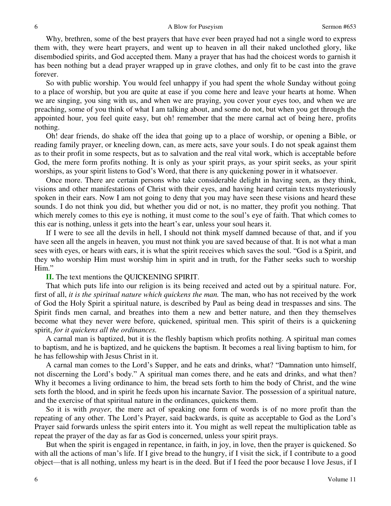Why, brethren, some of the best prayers that have ever been prayed had not a single word to express them with, they were heart prayers, and went up to heaven in all their naked unclothed glory, like disembodied spirits, and God accepted them. Many a prayer that has had the choicest words to garnish it has been nothing but a dead prayer wrapped up in grave clothes, and only fit to be cast into the grave forever.

 So with public worship. You would feel unhappy if you had spent the whole Sunday without going to a place of worship, but you are quite at ease if you come here and leave your hearts at home. When we are singing, you sing with us, and when we are praying, you cover your eyes too, and when we are preaching, some of you think of what I am talking about, and some do not, but when you get through the appointed hour, you feel quite easy, but oh! remember that the mere carnal act of being here, profits nothing.

 Oh! dear friends, do shake off the idea that going up to a place of worship, or opening a Bible, or reading family prayer, or kneeling down, can, as mere acts, save your souls. I do not speak against them as to their profit in some respects, but as to salvation and the real vital work, which is acceptable before God, the mere form profits nothing. It is only as your spirit prays, as your spirit seeks, as your spirit worships, as your spirit listens to God's Word, that there is any quickening power in it whatsoever.

 Once more. There are certain persons who take considerable delight in having seen, as they think, visions and other manifestations of Christ with their eyes, and having heard certain texts mysteriously spoken in their ears. Now I am not going to deny that you may have seen these visions and heard these sounds. I do not think you did, but whether you did or not, is no matter, they profit you nothing. That which merely comes to this eye is nothing, it must come to the soul's eye of faith. That which comes to this ear is nothing, unless it gets into the heart's ear, unless your soul hears it.

 If I were to see all the devils in hell, I should not think myself damned because of that, and if you have seen all the angels in heaven, you must not think you are saved because of that. It is not what a man sees with eyes, or hears with ears, it is what the spirit receives which saves the soul. "God is a Spirit, and they who worship Him must worship him in spirit and in truth, for the Father seeks such to worship Him."

### **II.** The text mentions the QUICKENING SPIRIT.

 That which puts life into our religion is its being received and acted out by a spiritual nature. For, first of all, *it is the spiritual nature which quickens the man.* The man, who has not received by the work of God the Holy Spirit a spiritual nature, is described by Paul as being dead in trespasses and sins. The Spirit finds men carnal, and breathes into them a new and better nature, and then they themselves become what they never were before, quickened, spiritual men. This spirit of theirs is a quickening spirit, *for it quickens all the ordinances.*

 A carnal man is baptized, but it is the fleshly baptism which profits nothing. A spiritual man comes to baptism, and he is baptized, and he quickens the baptism. It becomes a real living baptism to him, for he has fellowship with Jesus Christ in it.

 A carnal man comes to the Lord's Supper, and he eats and drinks, what? "Damnation unto himself, not discerning the Lord's body." A spiritual man comes there, and he eats and drinks, and what then? Why it becomes a living ordinance to him, the bread sets forth to him the body of Christ, and the wine sets forth the blood, and in spirit he feeds upon his incarnate Savior. The possession of a spiritual nature, and the exercise of that spiritual nature in the ordinances, quickens them.

 So it is with *prayer,* the mere act of speaking one form of words is of no more profit than the repeating of any other. The Lord's Prayer, said backwards, is quite as acceptable to God as the Lord's Prayer said forwards unless the spirit enters into it. You might as well repeat the multiplication table as repeat the prayer of the day as far as God is concerned, unless your spirit prays.

 But when the spirit is engaged in repentance, in faith, in joy, in love, then the prayer is quickened. So with all the actions of man's life. If I give bread to the hungry, if I visit the sick, if I contribute to a good object—that is all nothing, unless my heart is in the deed. But if I feed the poor because I love Jesus, if I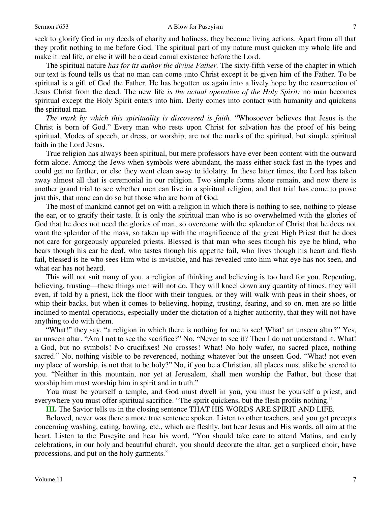seek to glorify God in my deeds of charity and holiness, they become living actions. Apart from all that they profit nothing to me before God. The spiritual part of my nature must quicken my whole life and make it real life, or else it will be a dead carnal existence before the Lord.

 The spiritual nature *has for its author the divine Father.* The sixty-fifth verse of the chapter in which our text is found tells us that no man can come unto Christ except it be given him of the Father. To be spiritual is a gift of God the Father. He has begotten us again into a lively hope by the resurrection of Jesus Christ from the dead. The new life *is the actual operation of the Holy Spirit:* no man becomes spiritual except the Holy Spirit enters into him. Deity comes into contact with humanity and quickens the spiritual man.

*The mark by which this spirituality is discovered is faith.* "Whosoever believes that Jesus is the Christ is born of God." Every man who rests upon Christ for salvation has the proof of his being spiritual. Modes of speech, or dress, or worship, are not the marks of the spiritual, but simple spiritual faith in the Lord Jesus.

 True religion has always been spiritual, but mere professors have ever been content with the outward form alone. Among the Jews when symbols were abundant, the mass either stuck fast in the types and could get no farther, or else they went clean away to idolatry. In these latter times, the Lord has taken away almost all that is ceremonial in our religion. Two simple forms alone remain, and now there is another grand trial to see whether men can live in a spiritual religion, and that trial has come to prove just this, that none can do so but those who are born of God.

 The most of mankind cannot get on with a religion in which there is nothing to see, nothing to please the ear, or to gratify their taste. It is only the spiritual man who is so overwhelmed with the glories of God that he does not need the glories of man, so overcome with the splendor of Christ that he does not want the splendor of the mass, so taken up with the magnificence of the great High Priest that he does not care for gorgeously appareled priests. Blessed is that man who sees though his eye be blind, who hears though his ear be deaf, who tastes though his appetite fail, who lives though his heart and flesh fail, blessed is he who sees Him who is invisible, and has revealed unto him what eye has not seen, and what ear has not heard.

 This will not suit many of you, a religion of thinking and believing is too hard for you. Repenting, believing, trusting—these things men will not do. They will kneel down any quantity of times, they will even, if told by a priest, lick the floor with their tongues, or they will walk with peas in their shoes, or whip their backs, but when it comes to believing, hoping, trusting, fearing, and so on, men are so little inclined to mental operations, especially under the dictation of a higher authority, that they will not have anything to do with them.

"What!" they say, "a religion in which there is nothing for me to see! What! an unseen altar?" Yes, an unseen altar. "Am I not to see the sacrifice?" No. "Never to see it? Then I do not understand it. What! a God, but no symbols! No crucifixes! No crosses! What! No holy wafer, no sacred place, nothing sacred." No, nothing visible to be reverenced, nothing whatever but the unseen God. "What! not even my place of worship, is not that to be holy?" No, if you be a Christian, all places must alike be sacred to you. "Neither in this mountain, nor yet at Jerusalem, shall men worship the Father, but those that worship him must worship him in spirit and in truth."

 You must be yourself a temple, and God must dwell in you, you must be yourself a priest, and everywhere you must offer spiritual sacrifice. "The spirit quickens, but the flesh profits nothing."

**III.** The Savior tells us in the closing sentence THAT HIS WORDS ARE SPIRIT AND LIFE.

 Beloved, never was there a more true sentence spoken. Listen to other teachers, and you get precepts concerning washing, eating, bowing, etc., which are fleshly, but hear Jesus and His words, all aim at the heart. Listen to the Puseyite and hear his word, "You should take care to attend Matins, and early celebrations, in our holy and beautiful church, you should decorate the altar, get a surpliced choir, have processions, and put on the holy garments."